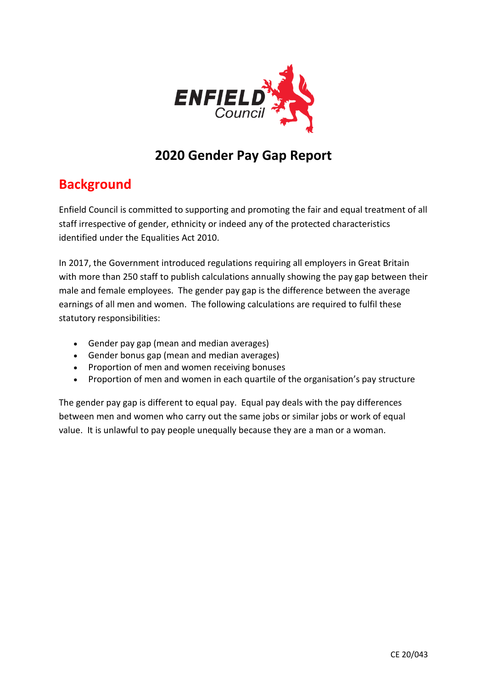

# **2020 Gender Pay Gap Report**

# **Background**

Enfield Council is committed to supporting and promoting the fair and equal treatment of all staff irrespective of gender, ethnicity or indeed any of the protected characteristics identified under the Equalities Act 2010.

In 2017, the Government introduced regulations requiring all employers in Great Britain with more than 250 staff to publish calculations annually showing the pay gap between their male and female employees. The gender pay gap is the difference between the average earnings of all men and women. The following calculations are required to fulfil these statutory responsibilities:

- Gender pay gap (mean and median averages)
- Gender bonus gap (mean and median averages)
- Proportion of men and women receiving bonuses
- Proportion of men and women in each quartile of the organisation's pay structure

The gender pay gap is different to equal pay. Equal pay deals with the pay differences between men and women who carry out the same jobs or similar jobs or work of equal value. It is unlawful to pay people unequally because they are a man or a woman.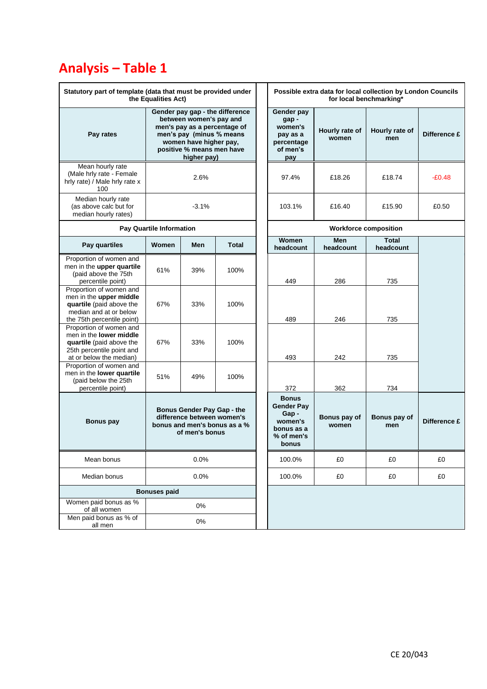# **Analysis – Table 1**

| Statutory part of template (data that must be provided under<br>the Equalities Act)                                                    |                                                                                                                                                                                              |     |                                                                                           | Possible extra data for local collection by London Councils<br>for local benchmarking* |                       |                           |       |  |
|----------------------------------------------------------------------------------------------------------------------------------------|----------------------------------------------------------------------------------------------------------------------------------------------------------------------------------------------|-----|-------------------------------------------------------------------------------------------|----------------------------------------------------------------------------------------|-----------------------|---------------------------|-------|--|
| Pay rates                                                                                                                              | Gender pay gap - the difference<br>between women's pay and<br>men's pay as a percentage of<br>men's pay (minus % means<br>women have higher pay,<br>positive % means men have<br>higher pay) |     | Gender pay<br>gap-<br>women's<br>pay as a<br>percentage<br>of men's<br>pay                | Hourly rate of<br>women                                                                | Hourly rate of<br>men | Difference £              |       |  |
| Mean hourly rate<br>(Male hrly rate - Female<br>hrly rate) / Male hrly rate x<br>100                                                   | 2.6%                                                                                                                                                                                         |     | 97.4%                                                                                     | £18.26                                                                                 | £18.74                | $-E0.48$                  |       |  |
| Median hourly rate<br>(as above calc but for<br>median hourly rates)                                                                   | $-3.1%$                                                                                                                                                                                      |     |                                                                                           | 103.1%                                                                                 | £16.40                | £15.90                    | £0.50 |  |
|                                                                                                                                        | <b>Pay Quartile Information</b>                                                                                                                                                              |     |                                                                                           | <b>Workforce composition</b>                                                           |                       |                           |       |  |
| Pay quartiles                                                                                                                          | Women                                                                                                                                                                                        | Men | <b>Total</b>                                                                              | Women<br>headcount                                                                     | Men<br>headcount      | <b>Total</b><br>headcount |       |  |
| Proportion of women and<br>men in the upper quartile<br>(paid above the 75th<br>percentile point)                                      | 61%                                                                                                                                                                                          | 39% | 100%                                                                                      | 449                                                                                    | 286                   | 735                       |       |  |
| Proportion of women and<br>men in the upper middle<br>quartile (paid above the<br>median and at or below<br>the 75th percentile point) | 67%                                                                                                                                                                                          | 33% | 100%                                                                                      | 489                                                                                    | 246                   | 735                       |       |  |
| Proportion of women and<br>men in the lower middle<br>quartile (paid above the<br>25th percentile point and<br>at or below the median) | 67%                                                                                                                                                                                          | 33% | 100%                                                                                      | 493                                                                                    | 242                   | 735                       |       |  |
| Proportion of women and<br>men in the lower quartile<br>(paid below the 25th<br>percentile point)                                      | 51%                                                                                                                                                                                          | 49% | 100%                                                                                      | 372                                                                                    | 362                   | 734                       |       |  |
| <b>Bonus pay</b>                                                                                                                       | Bonus Gender Pay Gap - the<br>difference between women's<br>bonus and men's bonus as a %<br>of men's bonus                                                                                   |     | <b>Bonus</b><br><b>Gender Pay</b><br>Gap-<br>women's<br>bonus as a<br>% of men's<br>bonus | Bonus pay of<br>women                                                                  | Bonus pay of<br>men   | Difference £              |       |  |
| Mean bonus                                                                                                                             | 0.0%                                                                                                                                                                                         |     | 100.0%                                                                                    | £0                                                                                     | £0                    | £0                        |       |  |
| Median bonus                                                                                                                           | 0.0%                                                                                                                                                                                         |     |                                                                                           | 100.0%                                                                                 | £0                    | £0                        | £0    |  |
|                                                                                                                                        | <b>Bonuses paid</b>                                                                                                                                                                          |     |                                                                                           |                                                                                        |                       |                           |       |  |
| Women paid bonus as %<br>of all women                                                                                                  | 0%                                                                                                                                                                                           |     |                                                                                           |                                                                                        |                       |                           |       |  |
| Men paid bonus as % of<br>all men                                                                                                      | $0\%$                                                                                                                                                                                        |     |                                                                                           |                                                                                        |                       |                           |       |  |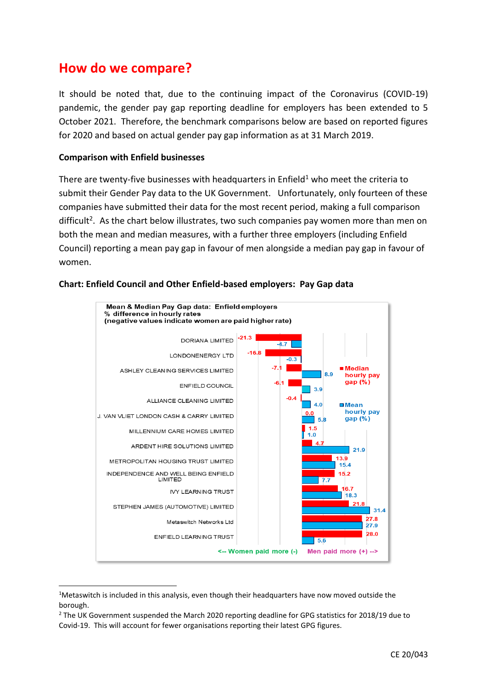# **How do we compare?**

It should be noted that, due to the continuing impact of the Coronavirus (COVID-19) pandemic, the gender pay gap reporting deadline for employers has been extended to 5 October 2021. Therefore, the benchmark comparisons below are based on reported figures for 2020 and based on actual gender pay gap information as at 31 March 2019.

## **Comparison with Enfield businesses**

There are twenty-five businesses with headquarters in Enfield<sup>1</sup> who meet the criteria to submit their Gender Pay data to the UK Government. Unfortunately, only fourteen of these companies have submitted their data for the most recent period, making a full comparison difficult<sup>2</sup>. As the chart below illustrates, two such companies pay women more than men on both the mean and median measures, with a further three employers (including Enfield Council) reporting a mean pay gap in favour of men alongside a median pay gap in favour of women.





<sup>&</sup>lt;sup>1</sup>Metaswitch is included in this analysis, even though their headquarters have now moved outside the borough.

<sup>&</sup>lt;sup>2</sup> The UK Government suspended the March 2020 reporting deadline for GPG statistics for 2018/19 due to Covid-19. This will account for fewer organisations reporting their latest GPG figures.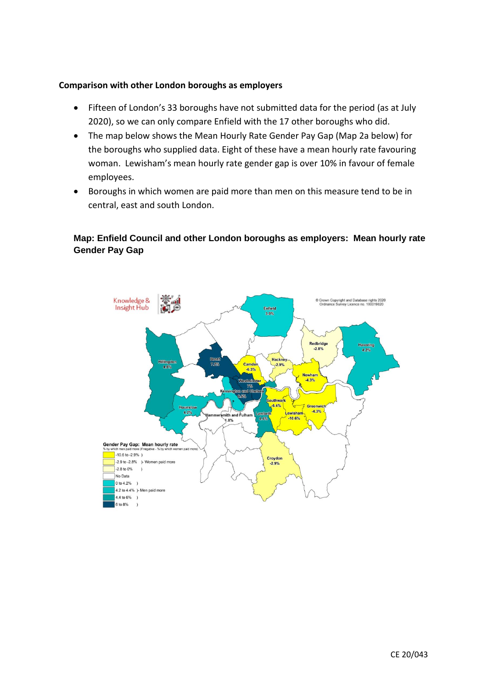### **Comparison with other London boroughs as employers**

- Fifteen of London's 33 boroughs have not submitted data for the period (as at July 2020), so we can only compare Enfield with the 17 other boroughs who did.
- The map below shows the Mean Hourly Rate Gender Pay Gap (Map 2a below) for the boroughs who supplied data. Eight of these have a mean hourly rate favouring woman. Lewisham's mean hourly rate gender gap is over 10% in favour of female employees.
- Boroughs in which women are paid more than men on this measure tend to be in central, east and south London.

# **Map: Enfield Council and other London boroughs as employers: Mean hourly rate Gender Pay Gap**

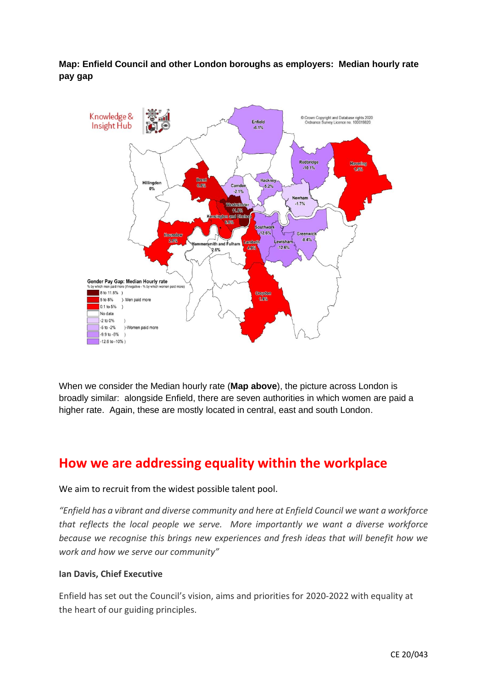**Map: Enfield Council and other London boroughs as employers: Median hourly rate pay gap**



When we consider the Median hourly rate (**Map above**), the picture across London is broadly similar: alongside Enfield, there are seven authorities in which women are paid a higher rate. Again, these are mostly located in central, east and south London.

# **How we are addressing equality within the workplace**

#### We aim to recruit from the widest possible talent pool.

*"Enfield has a vibrant and diverse community and here at Enfield Council we want a workforce that reflects the local people we serve. More importantly we want a diverse workforce because we recognise this brings new experiences and fresh ideas that will benefit how we work and how we serve our community"*

#### **Ian Davis, Chief Executive**

Enfield has set out the Council's vision, aims and priorities for 2020-2022 with equality at the heart of our guiding principles.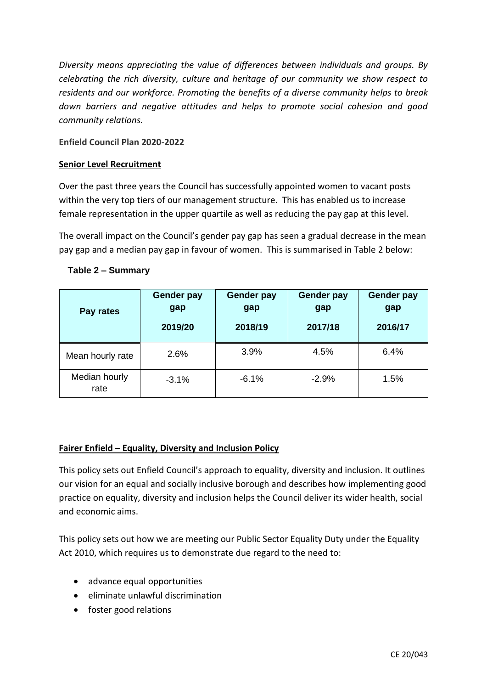*Diversity means appreciating the value of differences between individuals and groups. By celebrating the rich diversity, culture and heritage of our community we show respect to residents and our workforce. Promoting the benefits of a diverse community helps to break down barriers and negative attitudes and helps to promote social cohesion and good community relations.*

## **Enfield Council Plan 2020-2022**

### **Senior Level Recruitment**

Over the past three years the Council has successfully appointed women to vacant posts within the very top tiers of our management structure. This has enabled us to increase female representation in the upper quartile as well as reducing the pay gap at this level.

The overall impact on the Council's gender pay gap has seen a gradual decrease in the mean pay gap and a median pay gap in favour of women. This is summarised in Table 2 below:

# **Table 2 – Summary**

| Pay rates             | <b>Gender pay</b><br>gap<br>2019/20 | <b>Gender pay</b><br>gap<br>2018/19 | <b>Gender pay</b><br>gap<br>2017/18 | <b>Gender pay</b><br>gap<br>2016/17 |
|-----------------------|-------------------------------------|-------------------------------------|-------------------------------------|-------------------------------------|
| Mean hourly rate      | 2.6%                                | 3.9%                                | 4.5%                                | 6.4%                                |
| Median hourly<br>rate | $-3.1%$                             | $-6.1%$                             | $-2.9%$                             | 1.5%                                |

#### **Fairer Enfield – Equality, Diversity and Inclusion Policy**

This policy sets out Enfield Council's approach to equality, diversity and inclusion. It outlines our vision for an equal and socially inclusive borough and describes how implementing good practice on equality, diversity and inclusion helps the Council deliver its wider health, social and economic aims.

This policy sets out how we are meeting our Public Sector Equality Duty under the Equality Act 2010, which requires us to demonstrate due regard to the need to:

- advance equal opportunities
- eliminate unlawful discrimination
- foster good relations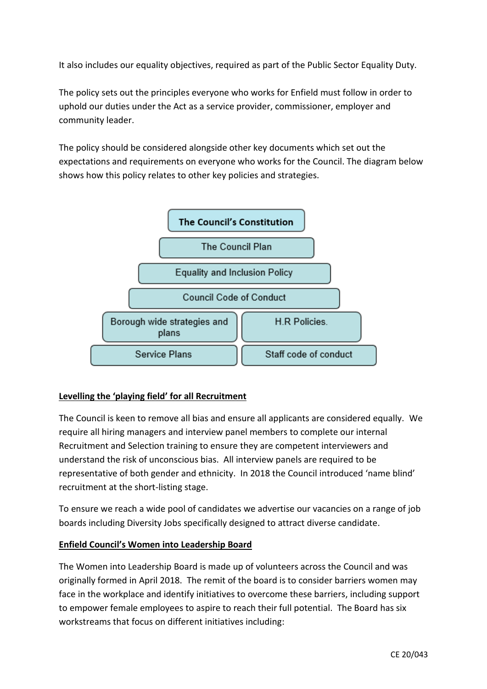It also includes our equality objectives, required as part of the Public Sector Equality Duty.

The policy sets out the principles everyone who works for Enfield must follow in order to uphold our duties under the Act as a service provider, commissioner, employer and community leader.

The policy should be considered alongside other key documents which set out the expectations and requirements on everyone who works for the Council. The diagram below shows how this policy relates to other key policies and strategies.



# **Levelling the 'playing field' for all Recruitment**

The Council is keen to remove all bias and ensure all applicants are considered equally. We require all hiring managers and interview panel members to complete our internal Recruitment and Selection training to ensure they are competent interviewers and understand the risk of unconscious bias. All interview panels are required to be representative of both gender and ethnicity. In 2018 the Council introduced 'name blind' recruitment at the short-listing stage.

To ensure we reach a wide pool of candidates we advertise our vacancies on a range of job boards including Diversity Jobs specifically designed to attract diverse candidate.

# **Enfield Council's Women into Leadership Board**

The Women into Leadership Board is made up of volunteers across the Council and was originally formed in April 2018. The remit of the board is to consider barriers women may face in the workplace and identify initiatives to overcome these barriers, including support to empower female employees to aspire to reach their full potential. The Board has six workstreams that focus on different initiatives including: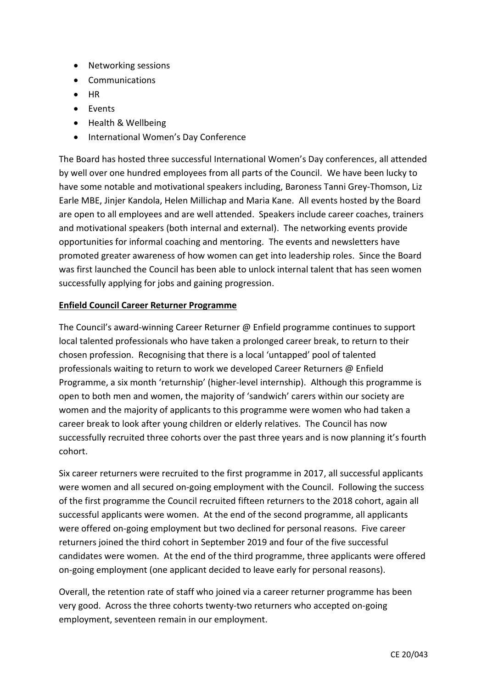- Networking sessions
- Communications
- HR
- Events
- Health & Wellbeing
- International Women's Day Conference

The Board has hosted three successful International Women's Day conferences, all attended by well over one hundred employees from all parts of the Council. We have been lucky to have some notable and motivational speakers including, Baroness Tanni Grey-Thomson, Liz Earle MBE, Jinjer Kandola, Helen Millichap and Maria Kane. All events hosted by the Board are open to all employees and are well attended. Speakers include career coaches, trainers and motivational speakers (both internal and external). The networking events provide opportunities for informal coaching and mentoring. The events and newsletters have promoted greater awareness of how women can get into leadership roles. Since the Board was first launched the Council has been able to unlock internal talent that has seen women successfully applying for jobs and gaining progression.

# **Enfield Council Career Returner Programme**

The Council's award-winning Career Returner @ Enfield programme continues to support local talented professionals who have taken a prolonged career break, to return to their chosen profession. Recognising that there is a local 'untapped' pool of talented professionals waiting to return to work we developed Career Returners @ Enfield Programme, a six month 'returnship' (higher-level internship). Although this programme is open to both men and women, the majority of 'sandwich' carers within our society are women and the majority of applicants to this programme were women who had taken a career break to look after young children or elderly relatives. The Council has now successfully recruited three cohorts over the past three years and is now planning it's fourth cohort.

Six career returners were recruited to the first programme in 2017, all successful applicants were women and all secured on-going employment with the Council. Following the success of the first programme the Council recruited fifteen returners to the 2018 cohort, again all successful applicants were women. At the end of the second programme, all applicants were offered on-going employment but two declined for personal reasons. Five career returners joined the third cohort in September 2019 and four of the five successful candidates were women. At the end of the third programme, three applicants were offered on-going employment (one applicant decided to leave early for personal reasons).

Overall, the retention rate of staff who joined via a career returner programme has been very good. Across the three cohorts twenty-two returners who accepted on-going employment, seventeen remain in our employment.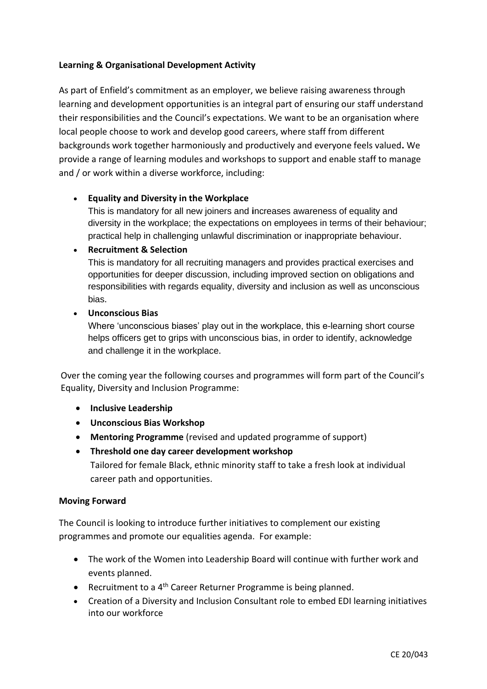# **Learning & Organisational Development Activity**

As part of Enfield's commitment as an employer, we believe raising awareness through learning and development opportunities is an integral part of ensuring our staff understand their responsibilities and the Council's expectations. We want to be an organisation where local people choose to work and develop good careers, where staff from different backgrounds work together harmoniously and productively and everyone feels valued**.** We provide a range of learning modules and workshops to support and enable staff to manage and / or work within a diverse workforce, including:

## • **Equality and Diversity in the Workplace**

This is mandatory for all new joiners and **i**ncreases awareness of equality and diversity in the workplace; the expectations on employees in terms of their behaviour; practical help in challenging unlawful discrimination or inappropriate behaviour.

#### • **Recruitment & Selection**

This is mandatory for all recruiting managers and provides practical exercises and opportunities for deeper discussion, including improved section on obligations and responsibilities with regards equality, diversity and inclusion as well as unconscious bias.

## • **Unconscious Bias**

Where 'unconscious biases' play out in the workplace, this e-learning short course helps officers get to grips with unconscious bias, in order to identify, acknowledge and challenge it in the workplace.

Over the coming year the following courses and programmes will form part of the Council's Equality, Diversity and Inclusion Programme:

- **Inclusive Leadership**
- **Unconscious Bias Workshop**
- **Mentoring Programme** (revised and updated programme of support)
- **Threshold one day career development workshop** Tailored for female Black, ethnic minority staff to take a fresh look at individual career path and opportunities.

#### **Moving Forward**

The Council is looking to introduce further initiatives to complement our existing programmes and promote our equalities agenda. For example:

- The work of the Women into Leadership Board will continue with further work and events planned.
- Recruitment to a 4<sup>th</sup> Career Returner Programme is being planned.
- Creation of a Diversity and Inclusion Consultant role to embed EDI learning initiatives into our workforce